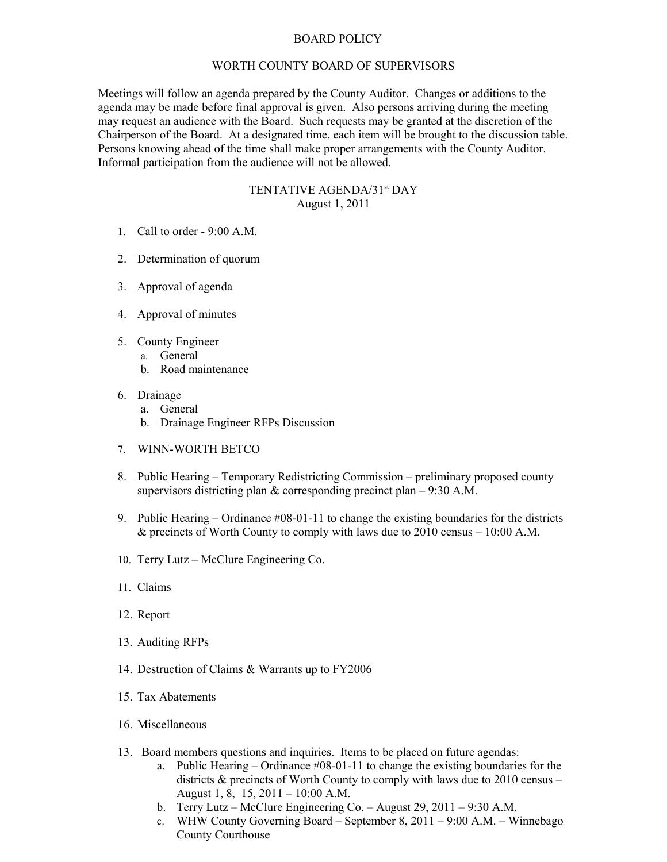## BOARD POLICY

## WORTH COUNTY BOARD OF SUPERVISORS

Meetings will follow an agenda prepared by the County Auditor. Changes or additions to the agenda may be made before final approval is given. Also persons arriving during the meeting may request an audience with the Board. Such requests may be granted at the discretion of the Chairperson of the Board. At a designated time, each item will be brought to the discussion table. Persons knowing ahead of the time shall make proper arrangements with the County Auditor. Informal participation from the audience will not be allowed.

## TENTATIVE AGENDA/31<sup>st</sup> DAY August 1, 2011

- 1. Call to order 9:00 A.M.
- 2. Determination of quorum
- 3. Approval of agenda
- 4. Approval of minutes
- 5. County Engineer
	- a. General
		- b. Road maintenance
- 6. Drainage
	- a. General
	- b. Drainage Engineer RFPs Discussion
- 7. WINN-WORTH BETCO
- 8. Public Hearing Temporary Redistricting Commission preliminary proposed county supervisors districting plan & corresponding precinct plan – 9:30 A.M.
- 9. Public Hearing Ordinance #08-01-11 to change the existing boundaries for the districts  $\&$  precincts of Worth County to comply with laws due to 2010 census – 10:00 A.M.
- 10. Terry Lutz McClure Engineering Co.
- 11. Claims
- 12. Report
- 13. Auditing RFPs
- 14. Destruction of Claims & Warrants up to FY2006
- 15. Tax Abatements
- 16. Miscellaneous
- 13. Board members questions and inquiries. Items to be placed on future agendas:
	- a. Public Hearing Ordinance #08-01-11 to change the existing boundaries for the districts & precincts of Worth County to comply with laws due to 2010 census – August 1, 8, 15, 2011 – 10:00 A.M.
	- b. Terry Lutz McClure Engineering Co. August 29, 2011 9:30 A.M.
	- c. WHW County Governing Board September 8, 2011 9:00 A.M. Winnebago County Courthouse